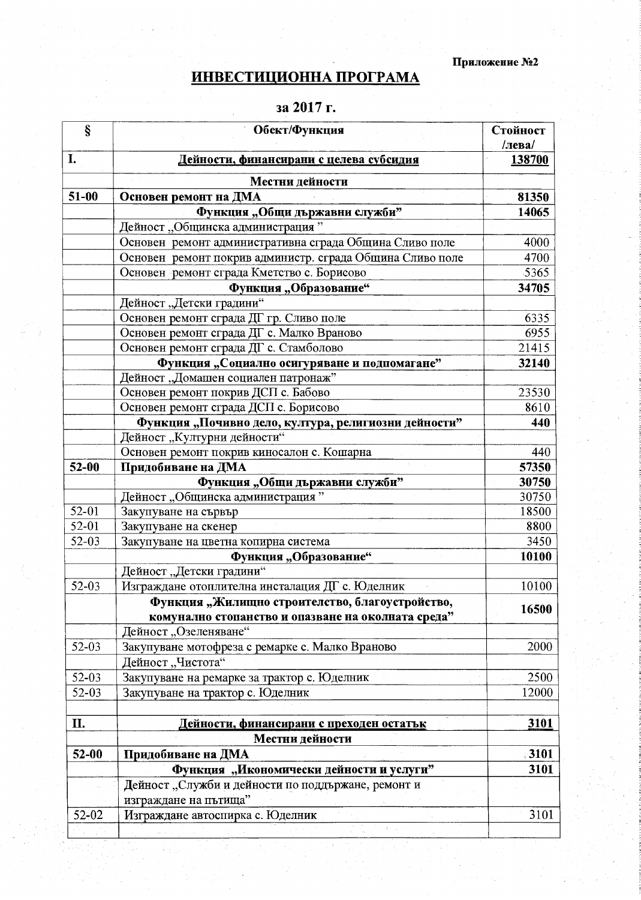## ИНВЕСТИЦИОННА ПРОГРАМА

## за 2017 г.

| §                      | Обект/Функция                                                                   | Стойност<br>/лева/ |
|------------------------|---------------------------------------------------------------------------------|--------------------|
| I.                     | <u>Дейности, финансирани с целева субсидия</u>                                  | 138700             |
|                        | Местни дейности                                                                 |                    |
| $51 - 00$              | Основен ремонт на ДМА                                                           | 81350              |
|                        | Функция "Общи държавни служби"                                                  | 14065              |
|                        | Дейност "Общинска администрация"                                                |                    |
|                        | Основен ремонт административна сграда Община Сливо поле                         | 4000               |
|                        | Основен ремонт покрив администр. сграда Община Сливо поле                       | 4700               |
|                        | Основен -ремонт сграда Кметство с. Борисово                                     | 5365               |
|                        | Функция "Образование"                                                           | 34705              |
|                        | Дейност "Детски градини"                                                        |                    |
|                        | Основен ремонт сграда ДГ гр. Сливо поле                                         | 6335               |
|                        | Основен ремонт сграда ДГ с. Малко Враново                                       | 6955               |
|                        | Основен ремонт сграда ДГ с. Стамболово                                          | 21415              |
|                        | Функция "Социално осигуряване и подпомагане"                                    | 32140              |
|                        | Дейност "Домашен социален патронаж"                                             |                    |
|                        | Основен ремонт покрив ДСП с. Бабово                                             | 23530              |
|                        | Основен ремонт сграда ДСП с. Борисово                                           | 8610               |
|                        | Функция "Почивно дело, култура, религиозни дейности"                            | 440                |
|                        | Дейност "Културни дейности"                                                     |                    |
|                        | Основен ремонт покрив киносалон с. Кошарна                                      | 440                |
| $52 - 00$              | Придобиване на ДМА                                                              | 57350              |
|                        | Функция "Общи държавни служби"                                                  | 30750              |
|                        | Дейност "Общинска администрация"                                                | 30750              |
| 52-01                  | Закупуване на сървър                                                            | 18500              |
| 52-01                  | Закупуване на скенер                                                            | 8800               |
| $52 - 03$              | Закупуване на цветна копирна система                                            | 3450               |
|                        | Функция "Образование"                                                           | 10100              |
|                        | Дейност "Детски градини"                                                        |                    |
| $52 - 03$              | Изграждане отоплителна инсталация ДГ с. Юделник                                 | 10100              |
|                        | Функция "Жилищно строителство, благоустройство,                                 | 16500              |
|                        | комунално стопанство и опазване на околната среда"<br>Дейност "Озеленяване"     |                    |
| 52-03                  |                                                                                 | 2000               |
|                        | Закупуване мотофреза с ремарке с. Малко Враново                                 |                    |
|                        | Дейност "Чистота"                                                               |                    |
| $52 - 03$<br>$52 - 03$ | Закупуване на ремарке за трактор с. Юделник<br>Закупуване на трактор с. Юделник | 2500<br>12000      |
|                        |                                                                                 |                    |
| П.                     | Дейности, финансирани с преходен остатък                                        | 3101               |
|                        | Местни дейности                                                                 |                    |
| $52 - 00$              | Придобиване на ДМА                                                              | 3101               |
|                        | Функция, Мкономически дейности и услуги"                                        | 3101               |
|                        | Дейност "Служби и дейности по поддържане, ремонт и                              |                    |
|                        | изграждане на пътища"                                                           |                    |
| $52 - 02$              | Изграждане автоспирка с. Юделник                                                | 3101               |
|                        | O Salar                                                                         |                    |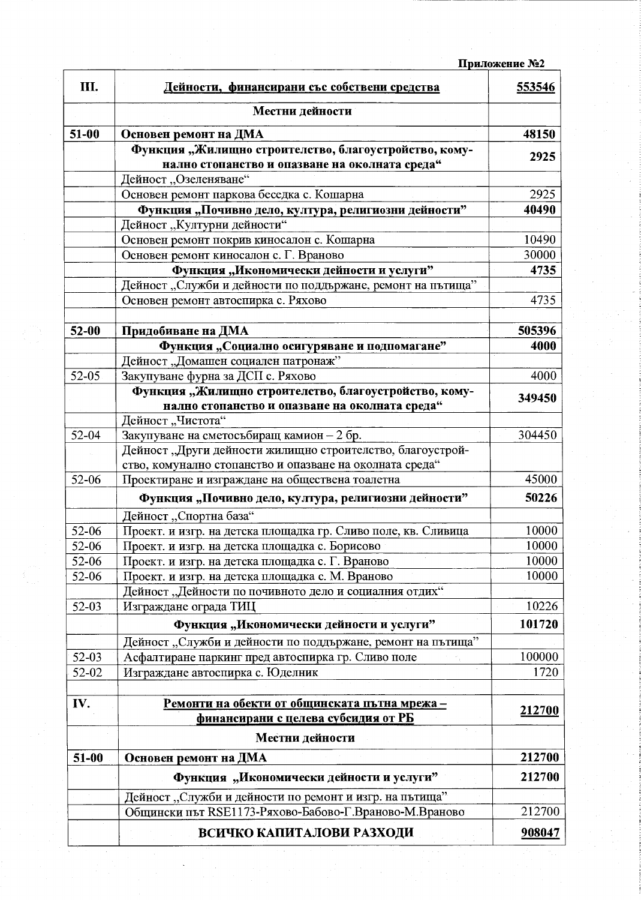|           | Приложение №2                                                  |        |  |  |
|-----------|----------------------------------------------------------------|--------|--|--|
| Ш.        | Дейности, финансирани със собствени средства                   | 553546 |  |  |
|           | Местни дейности                                                |        |  |  |
| $51 - 00$ | Основен ремонт на ДМА                                          | 48150  |  |  |
|           | Функция "Жилищно строителство, благоустройство, кому-          |        |  |  |
|           | нално стопанство и опазване на околната среда"                 | 2925   |  |  |
|           | Дейност "Озеленяване"                                          |        |  |  |
|           | Основен ремонт паркова беседка с. Кошарна                      | 2925   |  |  |
|           | Функция "Почивно дело, култура, религиозни дейности"           | 40490  |  |  |
|           | Дейност "Културни дейности"                                    |        |  |  |
|           | Основен ремонт покрив киносалон с. Кошарна                     | 10490  |  |  |
|           | Основен ремонт киносалон с. Г. Враново                         | 30000  |  |  |
|           | Функция "Икономически дейности и услуги"                       | 4735   |  |  |
|           | Дейност "Служби и дейности по поддържане, ремонт на пътища"    |        |  |  |
|           | Основен ремонт автоспирка с. Ряхово                            | 4735   |  |  |
| $52 - 00$ | Придобиване на ДМА                                             | 505396 |  |  |
|           | Функция "Социално осигуряване и подпомагане"                   | 4000   |  |  |
|           | Дейност "Домашен социален патронаж"                            |        |  |  |
| 52-05     | Закупуване фурна за ДСП с. Ряхово                              | 4000   |  |  |
|           | Функция "Жилищно строителство, благоустройство, кому-          | 349450 |  |  |
|           | нално стопанство и опазване на околната среда"                 |        |  |  |
|           | Дейност "Чистота"                                              |        |  |  |
| $52 - 04$ | Закупуване на сметосъбиращ камион - 2 бр.                      | 304450 |  |  |
|           | Дейност "Други дейности жилищно строителство, благоустрой-     |        |  |  |
|           | ство, комунално стопанство и опазване на околната среда"       |        |  |  |
| 52-06     | Проектиране и изграждане на обществена тоалетна                | 45000  |  |  |
|           | Функция "Почивно дело, култура, религиозни дейности"           | 50226  |  |  |
|           | Дейност "Спортна база"                                         |        |  |  |
| $52 - 06$ | Проект. и изгр. на детска площадка гр. Сливо поле, кв. Сливица | 10000  |  |  |
| $52 - 06$ | Проект. и изгр. на детска площадка с. Борисово                 | 10000  |  |  |
| 52-06     | Проект. и изгр. на детска площадка с. Г. Враново               | 10000  |  |  |
| $52 - 06$ | Проект. и изгр. на детска площадка с. М. Враново               | 10000  |  |  |
|           | Дейност "Дейности по почивното дело и социалния отдих"         |        |  |  |
| 52-03     | Изграждане ограда ТИЦ                                          | 10226  |  |  |
|           | Функция "Икономически дейности и услуги"                       | 101720 |  |  |
|           | Дейност "Служби и дейности по поддържане, ремонт на пътища"    |        |  |  |
| $52 - 03$ | Асфалтиране паркинг пред автоспирка гр. Сливо поле             | 100000 |  |  |
| 52-02     | Изграждане автоспирка с. Юделник                               | 1720   |  |  |
| IV.       | Ремонти на обекти от общинската пътна мрежа-                   | 212700 |  |  |
|           | <u>финансирани с целева субсидия от РБ</u>                     |        |  |  |
|           | Местни дейности                                                |        |  |  |
| $51 - 00$ | Основен ремонт на ДМА                                          | 212700 |  |  |
|           | Функция, Мкономически дейности и услуги"                       | 212700 |  |  |
|           | Дейност "Служби и дейности по ремонт и изгр. на пътища"        |        |  |  |
|           | Общински път RSE1173-Ряхово-Бабово-Г.Враново-М.Враново         | 212700 |  |  |
|           | ВСИЧКО КАПИТАЛОВИ РАЗХОДИ                                      | 908047 |  |  |